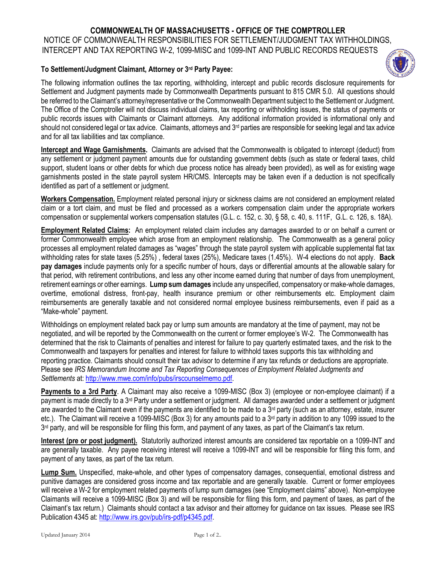## **COMMONWEALTH OF MASSACHUSETTS - OFFICE OF THE COMPTROLLER**

NOTICE OF COMMONWEALTH RESPONSIBILITIES FOR SETTLEMENT/JUDGMENT TAX WITHHOLDINGS,

## INTERCEPT AND TAX REPORTING W-2, 1099-MISC and 1099-INT AND PUBLIC RECORDS REQUESTS

## **To Settlement/Judgment Claimant, Attorney or 3rd Party Payee:**



**Intercept and Wage Garnishments.** Claimants are advised that the Commonwealth is obligated to intercept (deduct) from any settlement or judgment payment amounts due for outstanding government debts (such as state or federal taxes, child support, student loans or other debts for which due process notice has already been provided), as well as for existing wage garnishments posted in the state payroll system HR/CMS. Intercepts may be taken even if a deduction is not specifically identified as part of a settlement or judgment.

**Workers Compensation.** Employment related personal injury or sickness claims are not considered an employment related claim or a tort claim, and must be filed and processed as a workers compensation claim under the appropriate workers compensation or supplemental workers compensation statutes (G.L. c. 152, c. 30, § 58, c. 40, s. 111F, G.L. c. 126, s. 18A).

**Employment Related Claims:** An employment related claim includes any damages awarded to or on behalf a current or former Commonwealth employee which arose from an employment relationship. The Commonwealth as a general policy processes all employment related damages as "wages" through the state payroll system with applicable supplemental flat tax withholding rates for state taxes (5.25%) , federal taxes (25%), Medicare taxes (1.45%). W-4 elections do not apply. **Back pay damages** include payments only for a specific number of hours, days or differential amounts at the allowable salary for that period, with retirement contributions, and less any other income earned during that number of days from unemployment, retirement earnings or other earnings. **Lump sum damages** include any unspecified, compensatory or make-whole damages, overtime, emotional distress, front-pay, health insurance premium or other reimbursements etc. Employment claim reimbursements are generally taxable and not considered normal employee business reimbursements, even if paid as a "Make-whole" payment.

Withholdings on employment related back pay or lump sum amounts are mandatory at the time of payment, may not be negotiated, and will be reported by the Commonwealth on the current or former employee's W-2. The Commonwealth has determined that the risk to Claimants of penalties and interest for failure to pay quarterly estimated taxes, and the risk to the Commonwealth and taxpayers for penalties and interest for failure to withhold taxes supports this tax withholding and reporting practice. Claimants should consult their tax advisor to determine if any tax refunds or deductions are appropriate. Please see *IRS Memorandum Income and Tax Reporting Consequences of Employment Related Judgments and Settlements* at: [http://www.mwe.com/info/pubs/irscounselmemo.pdf.](http://www.mwe.com/info/pubs/irscounselmemo.pdf)

**Payments to a 3rd Party**. A Claimant may also receive a 1099-MISC (Box 3) (employee or non-employee claimant) if a payment is made directly to a 3<sup>rd</sup> Party under a settlement or judgment. All damages awarded under a settlement or judgment are awarded to the Claimant even if the payments are identified to be made to a  $3<sup>rd</sup>$  party (such as an attorney, estate, insurer etc.). The Claimant will receive a 1099-MISC (Box 3) for any amounts paid to a 3<sup>rd</sup> party in addition to any 1099 issued to the 3<sup>rd</sup> party, and will be responsible for filing this form, and payment of any taxes, as part of the Claimant's tax return.

**Interest (pre or post judgment).** Statutorily authorized interest amounts are considered tax reportable on a 1099-INT and are generally taxable. Any payee receiving interest will receive a 1099-INT and will be responsible for filing this form, and payment of any taxes, as part of the tax return.

**Lump Sum.** Unspecified, make-whole, and other types of compensatory damages, consequential, emotional distress and punitive damages are considered gross income and tax reportable and are generally taxable. Current or former employees will receive a W-2 for employment related payments of lump sum damages (see "Employment claims" above). Non-employee Claimants will receive a 1099-MISC (Box 3) and will be responsible for filing this form, and payment of taxes, as part of the Claimant's tax return.) Claimants should contact a tax advisor and their attorney for guidance on tax issues. Please see IRS Publication 4345 at: [http://www.irs.gov/pub/irs-pdf/p4345.pdf.](http://www.irs.gov/pub/irs-pdf/p4345.pdf)